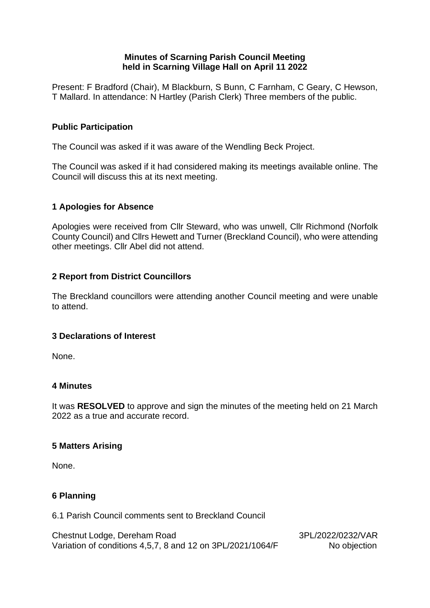# **Minutes of Scarning Parish Council Meeting held in Scarning Village Hall on April 11 2022**

Present: F Bradford (Chair), M Blackburn, S Bunn, C Farnham, C Geary, C Hewson, T Mallard. In attendance: N Hartley (Parish Clerk) Three members of the public.

# **Public Participation**

The Council was asked if it was aware of the Wendling Beck Project.

The Council was asked if it had considered making its meetings available online. The Council will discuss this at its next meeting.

## **1 Apologies for Absence**

Apologies were received from Cllr Steward, who was unwell, Cllr Richmond (Norfolk County Council) and Cllrs Hewett and Turner (Breckland Council), who were attending other meetings. Cllr Abel did not attend.

# **2 Report from District Councillors**

The Breckland councillors were attending another Council meeting and were unable to attend.

## **3 Declarations of Interest**

None.

## **4 Minutes**

It was **RESOLVED** to approve and sign the minutes of the meeting held on 21 March 2022 as a true and accurate record.

## **5 Matters Arising**

None.

## **6 Planning**

6.1 Parish Council comments sent to Breckland Council

Chestnut Lodge, Dereham Road 3PL/2022/0232/VAR Variation of conditions 4,5,7, 8 and 12 on 3PL/2021/1064/F No objection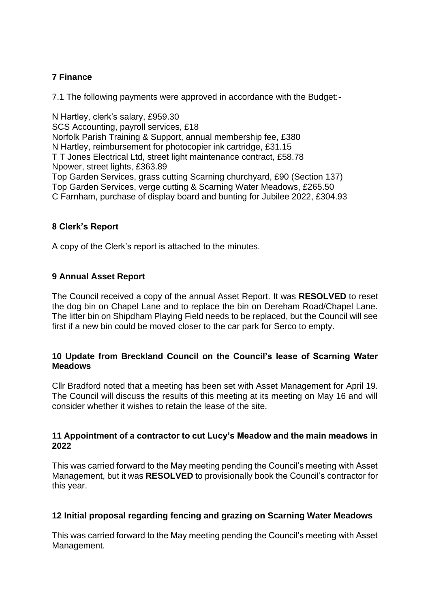# **7 Finance**

7.1 The following payments were approved in accordance with the Budget:-

N Hartley, clerk's salary, £959.30 SCS Accounting, payroll services, £18 Norfolk Parish Training & Support, annual membership fee, £380 N Hartley, reimbursement for photocopier ink cartridge, £31.15 T T Jones Electrical Ltd, street light maintenance contract, £58.78 Npower, street lights, £363.89 Top Garden Services, grass cutting Scarning churchyard, £90 (Section 137) Top Garden Services, verge cutting & Scarning Water Meadows, £265.50 C Farnham, purchase of display board and bunting for Jubilee 2022, £304.93

## **8 Clerk's Report**

A copy of the Clerk's report is attached to the minutes.

## **9 Annual Asset Report**

The Council received a copy of the annual Asset Report. It was **RESOLVED** to reset the dog bin on Chapel Lane and to replace the bin on Dereham Road/Chapel Lane. The litter bin on Shipdham Playing Field needs to be replaced, but the Council will see first if a new bin could be moved closer to the car park for Serco to empty.

## **10 Update from Breckland Council on the Council's lease of Scarning Water Meadows**

Cllr Bradford noted that a meeting has been set with Asset Management for April 19. The Council will discuss the results of this meeting at its meeting on May 16 and will consider whether it wishes to retain the lease of the site.

#### **11 Appointment of a contractor to cut Lucy's Meadow and the main meadows in 2022**

This was carried forward to the May meeting pending the Council's meeting with Asset Management, but it was **RESOLVED** to provisionally book the Council's contractor for this year.

## **12 Initial proposal regarding fencing and grazing on Scarning Water Meadows**

This was carried forward to the May meeting pending the Council's meeting with Asset Management.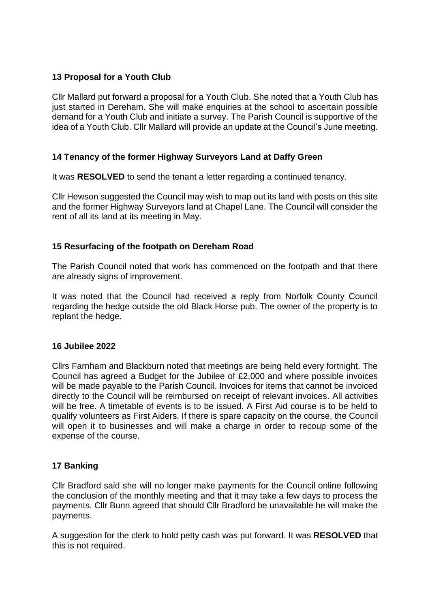# **13 Proposal for a Youth Club**

Cllr Mallard put forward a proposal for a Youth Club. She noted that a Youth Club has just started in Dereham. She will make enquiries at the school to ascertain possible demand for a Youth Club and initiate a survey. The Parish Council is supportive of the idea of a Youth Club. Cllr Mallard will provide an update at the Council's June meeting.

# **14 Tenancy of the former Highway Surveyors Land at Daffy Green**

It was **RESOLVED** to send the tenant a letter regarding a continued tenancy.

Cllr Hewson suggested the Council may wish to map out its land with posts on this site and the former Highway Surveyors land at Chapel Lane. The Council will consider the rent of all its land at its meeting in May.

# **15 Resurfacing of the footpath on Dereham Road**

The Parish Council noted that work has commenced on the footpath and that there are already signs of improvement.

It was noted that the Council had received a reply from Norfolk County Council regarding the hedge outside the old Black Horse pub. The owner of the property is to replant the hedge.

## **16 Jubilee 2022**

Cllrs Farnham and Blackburn noted that meetings are being held every fortnight. The Council has agreed a Budget for the Jubilee of £2,000 and where possible invoices will be made payable to the Parish Council. Invoices for items that cannot be invoiced directly to the Council will be reimbursed on receipt of relevant invoices. All activities will be free. A timetable of events is to be issued. A First Aid course is to be held to qualify volunteers as First Aiders. If there is spare capacity on the course, the Council will open it to businesses and will make a charge in order to recoup some of the expense of the course.

## **17 Banking**

Cllr Bradford said she will no longer make payments for the Council online following the conclusion of the monthly meeting and that it may take a few days to process the payments. Cllr Bunn agreed that should Cllr Bradford be unavailable he will make the payments.

A suggestion for the clerk to hold petty cash was put forward. It was **RESOLVED** that this is not required.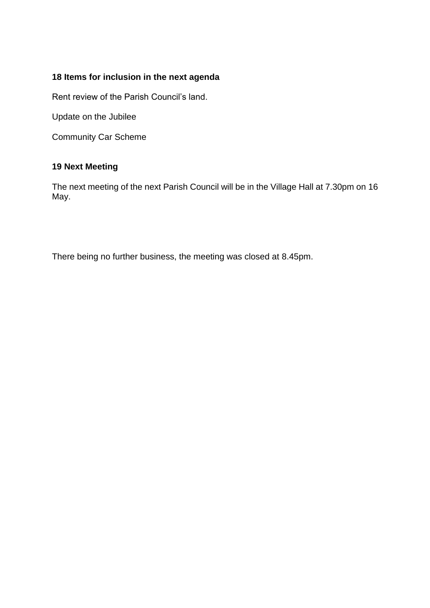# **18 Items for inclusion in the next agenda**

Rent review of the Parish Council's land.

Update on the Jubilee

Community Car Scheme

# **19 Next Meeting**

The next meeting of the next Parish Council will be in the Village Hall at 7.30pm on 16 May.

There being no further business, the meeting was closed at 8.45pm.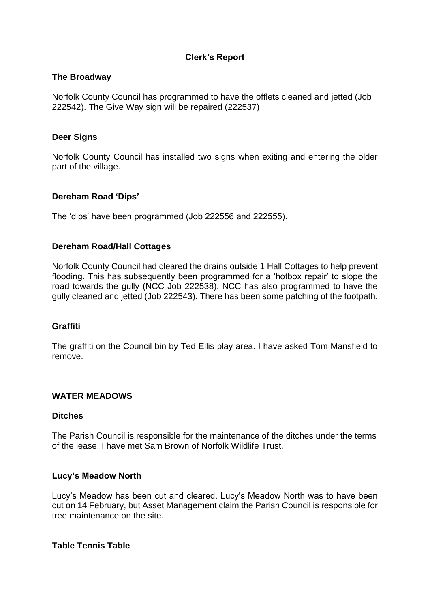# **Clerk's Report**

#### **The Broadway**

Norfolk County Council has programmed to have the offlets cleaned and jetted (Job 222542). The Give Way sign will be repaired (222537)

#### **Deer Signs**

Norfolk County Council has installed two signs when exiting and entering the older part of the village.

#### **Dereham Road 'Dips'**

The 'dips' have been programmed (Job 222556 and 222555).

#### **Dereham Road/Hall Cottages**

Norfolk County Council had cleared the drains outside 1 Hall Cottages to help prevent flooding. This has subsequently been programmed for a 'hotbox repair' to slope the road towards the gully (NCC Job 222538). NCC has also programmed to have the gully cleaned and jetted (Job 222543). There has been some patching of the footpath.

## **Graffiti**

The graffiti on the Council bin by Ted Ellis play area. I have asked Tom Mansfield to remove.

#### **WATER MEADOWS**

#### **Ditches**

The Parish Council is responsible for the maintenance of the ditches under the terms of the lease. I have met Sam Brown of Norfolk Wildlife Trust.

#### **Lucy's Meadow North**

Lucy's Meadow has been cut and cleared. Lucy's Meadow North was to have been cut on 14 February, but Asset Management claim the Parish Council is responsible for tree maintenance on the site.

#### **Table Tennis Table**